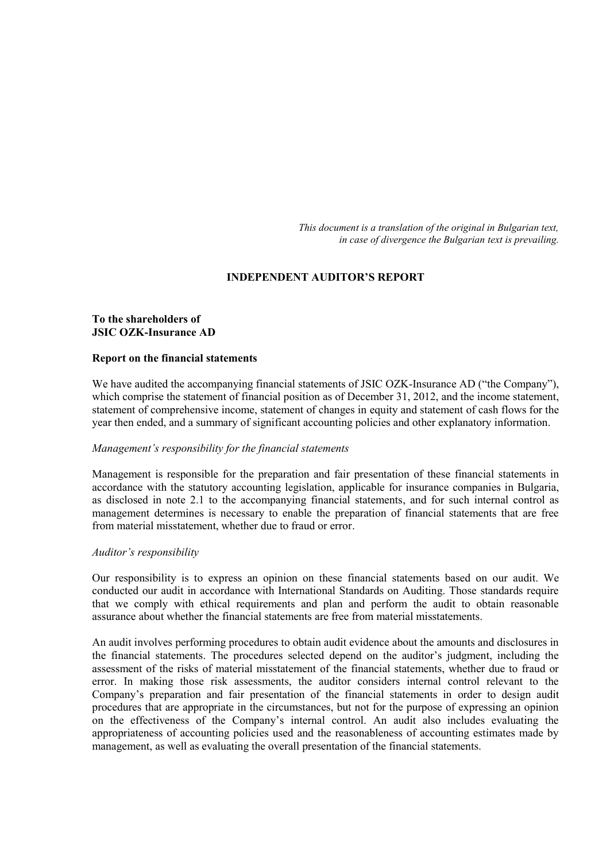*This document is a translation of the original in Bulgarian text, in case of divergence the Bulgarian text is prevailing.*

# **INDEPENDENT AUDITOR'S REPORT**

# **To the shareholders of JSIC OZK-Insurance AD**

#### **Report on the financial statements**

We have audited the accompanying financial statements of JSIC OZK-Insurance AD ("the Company"), which comprise the statement of financial position as of December 31, 2012, and the income statement, statement of comprehensive income, statement of changes in equity and statement of cash flows for the year then ended, and a summary of significant accounting policies and other explanatory information.

#### *Management's responsibility for the financial statements*

Management is responsible for the preparation and fair presentation of these financial statements in accordance with the statutory accounting legislation, applicable for insurance companies in Bulgaria, as disclosed in note 2.1 to the accompanying financial statements, and for such internal control as management determines is necessary to enable the preparation of financial statements that are free from material misstatement, whether due to fraud or error.

#### *Auditor's responsibility*

Our responsibility is to express an opinion on these financial statements based on our audit. We conducted our audit in accordance with International Standards on Auditing. Those standards require that we comply with ethical requirements and plan and perform the audit to obtain reasonable assurance about whether the financial statements are free from material misstatements.

An audit involves performing procedures to obtain audit evidence about the amounts and disclosures in the financial statements. The procedures selected depend on the auditor's judgment, including the assessment of the risks of material misstatement of the financial statements, whether due to fraud or error. In making those risk assessments, the auditor considers internal control relevant to the Company's preparation and fair presentation of the financial statements in order to design audit procedures that are appropriate in the circumstances, but not for the purpose of expressing an opinion on the effectiveness of the Company's internal control. An audit also includes evaluating the appropriateness of accounting policies used and the reasonableness of accounting estimates made by management, as well as evaluating the overall presentation of the financial statements.